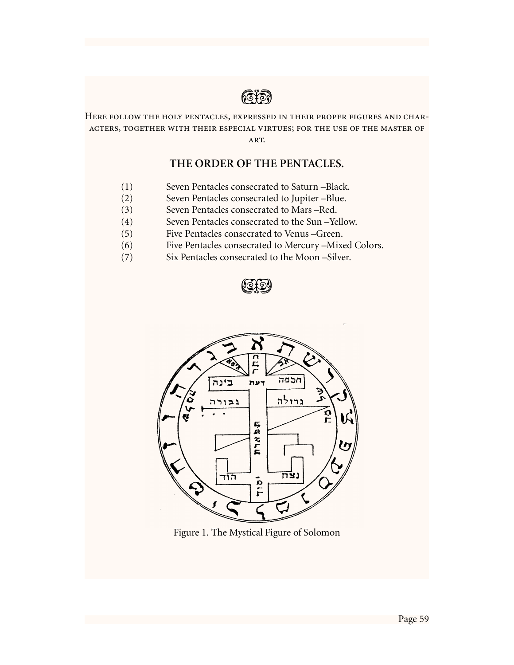

#### Here follow the holy pentacles, expressed in their proper figures and characters, together with their especial virtues; for the use of the master of ART.

#### **THE ORDER OF THE PENTACLES.**

- (1) Seven Pentacles consecrated to Saturn –Black.
- (2) Seven Pentacles consecrated to Jupiter –Blue.
- (3) Seven Pentacles consecrated to Mars –Red.
- (4) Seven Pentacles consecrated to the Sun –Yellow.
- (5) Five Pentacles consecrated to Venus –Green.
- (6) Five Pentacles consecrated to Mercury –Mixed Colors.
- (7) Six Pentacles consecrated to the Moon –Silver.





Figure 1. The Mystical Figure of Solomon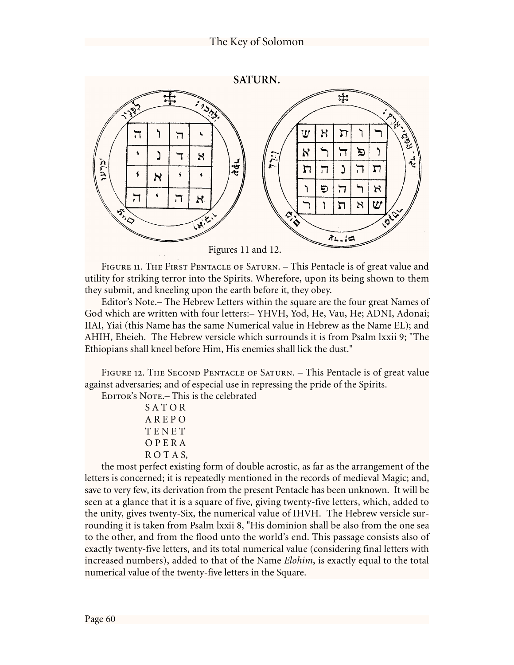

FIGURE 11. THE FIRST PENTACLE OF SATURN. - This Pentacle is of great value and utility for striking terror into the Spirits. Wherefore, upon its being shown to them they submit, and kneeling upon the earth before it, they obey.

Editor's Note.– The Hebrew Letters within the square are the four great Names of God which are written with four letters:– YHVH, Yod, He, Vau, He; ADNI, Adonai; IIAI, Yiai (this Name has the same Numerical value in Hebrew as the Name EL); and AHIH, Eheieh. The Hebrew versicle which surrounds it is from Psalm lxxii 9; "The Ethiopians shall kneel before Him, His enemies shall lick the dust."

Figure 12. The Second Pentacle of Saturn. – This Pentacle is of great value against adversaries; and of especial use in repressing the pride of the Spirits.

EDITOR'S NOTE.– This is the celebrated

S A T O R A R E P O T E N E T O P E R A R O T A S,

the most perfect existing form of double acrostic, as far as the arrangement of the letters is concerned; it is repeatedly mentioned in the records of medieval Magic; and, save to very few, its derivation from the present Pentacle has been unknown. It will be seen at a glance that it is a square of five, giving twenty-five letters, which, added to the unity, gives twenty-Six, the numerical value of IHVH. The Hebrew versicle surrounding it is taken from Psalm lxxii 8, "His dominion shall be also from the one sea to the other, and from the flood unto the world's end. This passage consists also of exactly twenty-five letters, and its total numerical value (considering final letters with increased numbers), added to that of the Name *Elohim*, is exactly equal to the total numerical value of the twenty-five letters in the Square.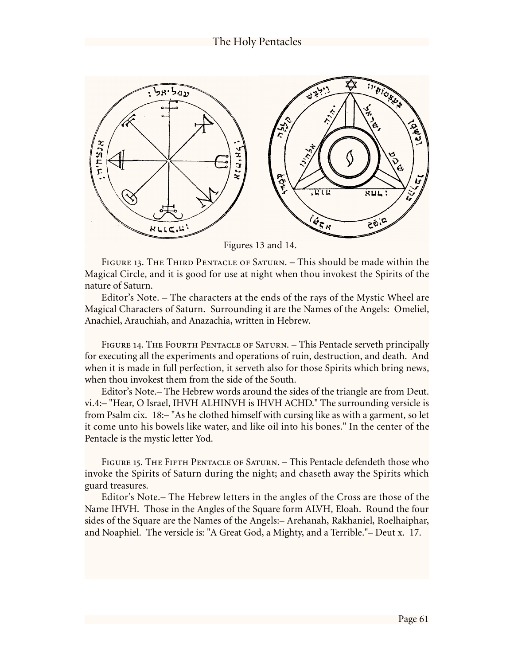

Figures 13 and 14.

FIGURE 13. THE THIRD PENTACLE OF SATURN. - This should be made within the Magical Circle, and it is good for use at night when thou invokest the Spirits of the nature of Saturn.

Editor's Note. – The characters at the ends of the rays of the Mystic Wheel are Magical Characters of Saturn. Surrounding it are the Names of the Angels: Omeliel, Anachiel, Arauchiah, and Anazachia, written in Hebrew.

Figure 14. The Fourth Pentacle of Saturn. – This Pentacle serveth principally for executing all the experiments and operations of ruin, destruction, and death. And when it is made in full perfection, it serveth also for those Spirits which bring news, when thou invokest them from the side of the South.

Editor's Note.– The Hebrew words around the sides of the triangle are from Deut. vi.4:– "Hear, O Israel, IHVH ALHINVH is IHVH ACHD." The surrounding versicle is from Psalm cix. 18:– "As he clothed himself with cursing like as with a garment, so let it come unto his bowels like water, and like oil into his bones." In the center of the Pentacle is the mystic letter Yod.

Figure 15. The Fifth Pentacle of Saturn. – This Pentacle defendeth those who invoke the Spirits of Saturn during the night; and chaseth away the Spirits which guard treasures.

Editor's Note.– The Hebrew letters in the angles of the Cross are those of the Name IHVH. Those in the Angles of the Square form ALVH, Eloah. Round the four sides of the Square are the Names of the Angels:– Arehanah, Rakhaniel, Roelhaiphar, and Noaphiel. The versicle is: "A Great God, a Mighty, and a Terrible."– Deut x. 17.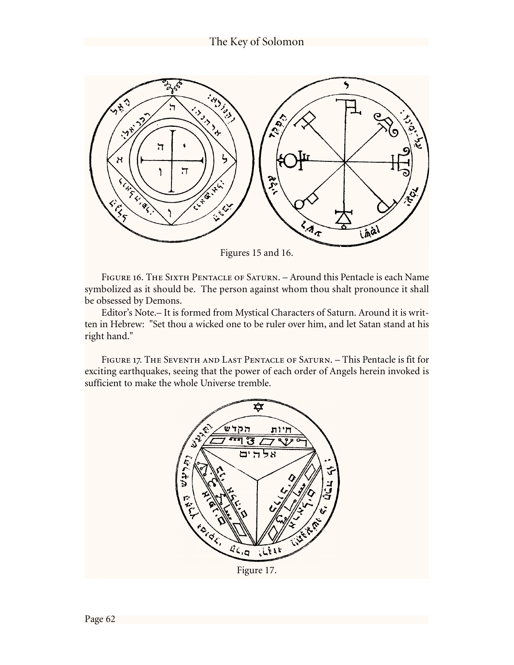

Figures 15 and 16.

FIGURE 16. THE SIXTH PENTACLE OF SATURN. - Around this Pentacle is each Name symbolized as it should be. The person against whom thou shalt pronounce it shall be obsessed by Demons.

Editor's Note.– It is formed from Mystical Characters of Saturn. Around it is written in Hebrew: "Set thou a wicked one to be ruler over him, and let Satan stand at his right hand."

Figure 17. The Seventh and Last Pentacle of Saturn. – This Pentacle is fit for exciting earthquakes, seeing that the power of each order of Angels herein invoked is sufficient to make the whole Universe tremble.



Figure 17.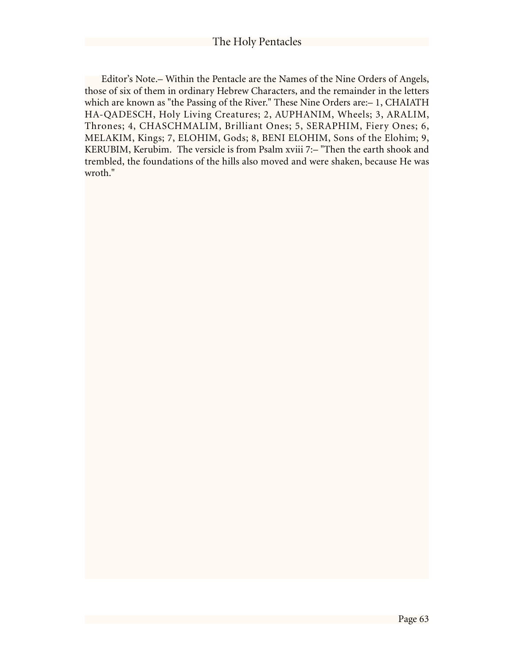Editor's Note.– Within the Pentacle are the Names of the Nine Orders of Angels, those of six of them in ordinary Hebrew Characters, and the remainder in the letters which are known as "the Passing of the River." These Nine Orders are:– 1, CHAIATH HA-QADESCH, Holy Living Creatures; 2, AUPHANIM, Wheels; 3, ARALIM, Thrones; 4, CHASCHMALIM, Brilliant Ones; 5, SERAPHIM, Fiery Ones; 6, MELAKIM, Kings; 7, ELOHIM, Gods; 8, BENI ELOHIM, Sons of the Elohim; 9, KERUBIM, Kerubim. The versicle is from Psalm xviii 7:– "Then the earth shook and trembled, the foundations of the hills also moved and were shaken, because He was wroth."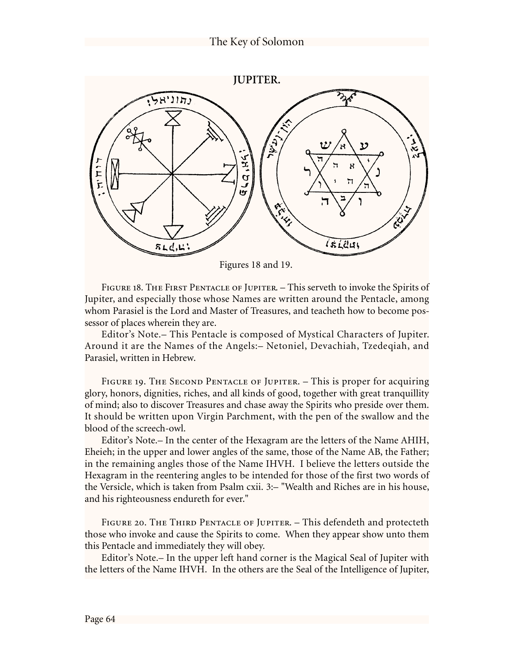

Figures 18 and 19.

Figure 18. The First Pentacle of Jupiter. – This serveth to invoke the Spirits of Jupiter, and especially those whose Names are written around the Pentacle, among whom Parasiel is the Lord and Master of Treasures, and teacheth how to become possessor of places wherein they are.

Editor's Note.– This Pentacle is composed of Mystical Characters of Jupiter. Around it are the Names of the Angels:– Netoniel, Devachiah, Tzedeqiah, and Parasiel, written in Hebrew.

Figure 19. The Second Pentacle of Jupiter. – This is proper for acquiring glory, honors, dignities, riches, and all kinds of good, together with great tranquillity of mind; also to discover Treasures and chase away the Spirits who preside over them. It should be written upon Virgin Parchment, with the pen of the swallow and the blood of the screech-owl.

Editor's Note.– In the center of the Hexagram are the letters of the Name AHIH, Eheieh; in the upper and lower angles of the same, those of the Name AB, the Father; in the remaining angles those of the Name IHVH. I believe the letters outside the Hexagram in the reentering angles to be intended for those of the first two words of the Versicle, which is taken from Psalm cxii. 3:– "Wealth and Riches are in his house, and his righteousness endureth for ever."

FIGURE 20. THE THIRD PENTACLE OF JUPITER. – This defendeth and protecteth those who invoke and cause the Spirits to come. When they appear show unto them this Pentacle and immediately they will obey.

Editor's Note.– In the upper left hand corner is the Magical Seal of Jupiter with the letters of the Name IHVH. In the others are the Seal of the Intelligence of Jupiter,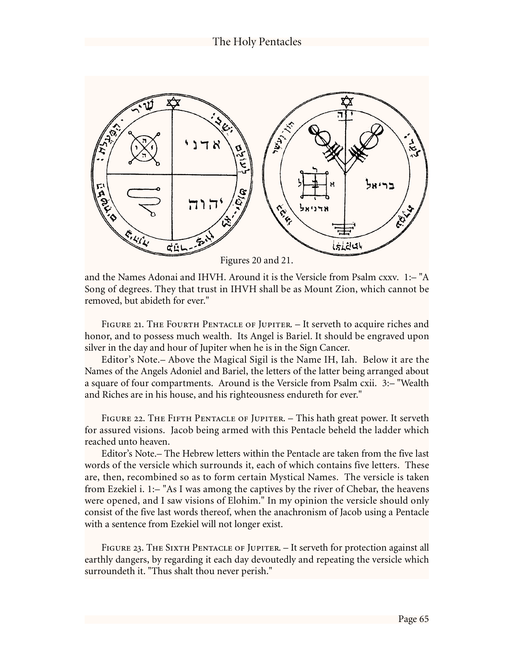

and the Names Adonai and IHVH. Around it is the Versicle from Psalm cxxv. 1:– "A Song of degrees. They that trust in IHVH shall be as Mount Zion, which cannot be removed, but abideth for ever."

Figure 21. The Fourth Pentacle of Jupiter. – It serveth to acquire riches and honor, and to possess much wealth. Its Angel is Bariel. It should be engraved upon silver in the day and hour of Jupiter when he is in the Sign Cancer.

Editor's Note.– Above the Magical Sigil is the Name IH, Iah. Below it are the Names of the Angels Adoniel and Bariel, the letters of the latter being arranged about a square of four compartments. Around is the Versicle from Psalm cxii. 3:– "Wealth and Riches are in his house, and his righteousness endureth for ever."

Figure 22. The Fifth Pentacle of Jupiter. – This hath great power. It serveth for assured visions. Jacob being armed with this Pentacle beheld the ladder which reached unto heaven.

Editor's Note.– The Hebrew letters within the Pentacle are taken from the five last words of the versicle which surrounds it, each of which contains five letters. These are, then, recombined so as to form certain Mystical Names. The versicle is taken from Ezekiel i. 1:– "As I was among the captives by the river of Chebar, the heavens were opened, and I saw visions of Elohim." In my opinion the versicle should only consist of the five last words thereof, when the anachronism of Jacob using a Pentacle with a sentence from Ezekiel will not longer exist.

FIGURE 23. THE SIXTH PENTACLE OF JUPITER. – It serveth for protection against all earthly dangers, by regarding it each day devoutedly and repeating the versicle which surroundeth it. "Thus shalt thou never perish."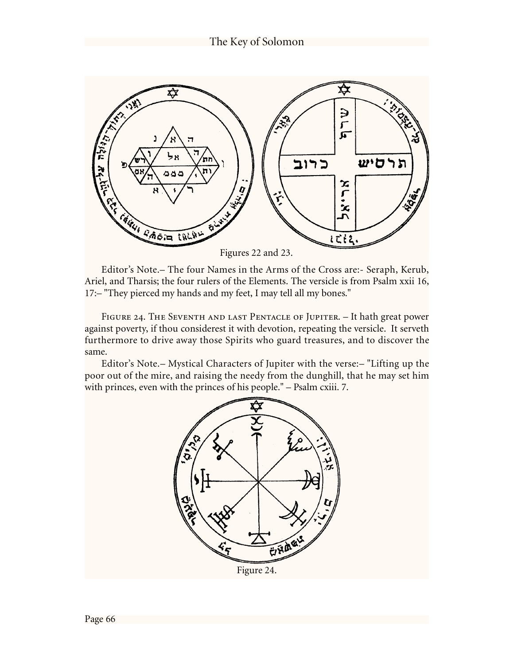

Figures 22 and 23.

Editor's Note.– The four Names in the Arms of the Cross are:- Seraph, Kerub, Ariel, and Tharsis; the four rulers of the Elements. The versicle is from Psalm xxii 16, 17:– "They pierced my hands and my feet, I may tell all my bones."

Figure 24. The Seventh and last Pentacle of Jupiter. – It hath great power against poverty, if thou considerest it with devotion, repeating the versicle. It serveth furthermore to drive away those Spirits who guard treasures, and to discover the same.

Editor's Note.– Mystical Characters of Jupiter with the verse:– "Lifting up the poor out of the mire, and raising the needy from the dunghill, that he may set him with princes, even with the princes of his people." – Psalm cxiii. 7.



Figure 24.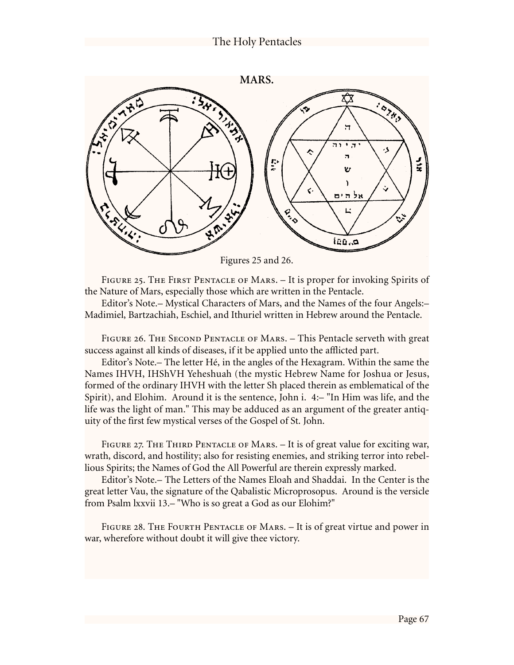

FIGURE 25. THE FIRST PENTACLE OF MARS. - It is proper for invoking Spirits of the Nature of Mars, especially those which are written in the Pentacle.

Editor's Note.– Mystical Characters of Mars, and the Names of the four Angels:– Madimiel, Bartzachiah, Eschiel, and Ithuriel written in Hebrew around the Pentacle.

FIGURE 26. THE SECOND PENTACLE OF MARS. – This Pentacle serveth with great success against all kinds of diseases, if it be applied unto the afflicted part.

Editor's Note.– The letter Hé, in the angles of the Hexagram. Within the same the Names IHVH, IHShVH Yeheshuah (the mystic Hebrew Name for Joshua or Jesus, formed of the ordinary IHVH with the letter Sh placed therein as emblematical of the Spirit), and Elohim. Around it is the sentence, John i. 4:– "In Him was life, and the life was the light of man." This may be adduced as an argument of the greater antiquity of the first few mystical verses of the Gospel of St. John.

FIGURE 27. THE THIRD PENTACLE OF MARS. - It is of great value for exciting war, wrath, discord, and hostility; also for resisting enemies, and striking terror into rebellious Spirits; the Names of God the All Powerful are therein expressly marked.

Editor's Note.– The Letters of the Names Eloah and Shaddai. In the Center is the great letter Vau, the signature of the Qabalistic Microprosopus. Around is the versicle from Psalm lxxvii 13.– "Who is so great a God as our Elohim?"

FIGURE 28. THE FOURTH PENTACLE OF MARS. - It is of great virtue and power in war, wherefore without doubt it will give thee victory.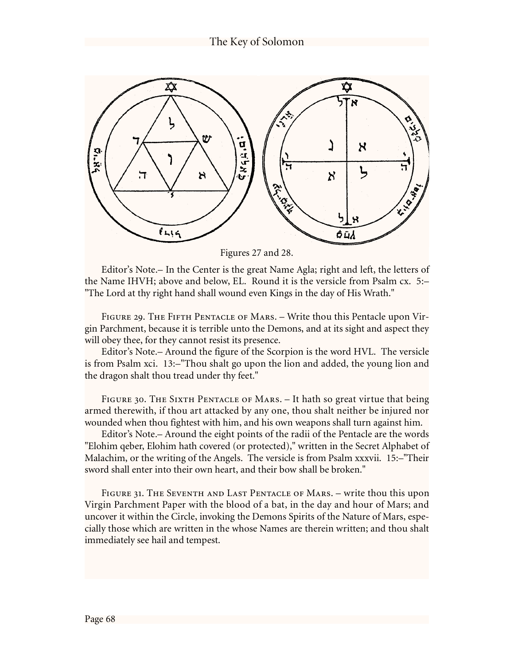

Figures 27 and 28.

Editor's Note.– In the Center is the great Name Agla; right and left, the letters of the Name IHVH; above and below, EL. Round it is the versicle from Psalm cx. 5:– "The Lord at thy right hand shall wound even Kings in the day of His Wrath."

FIGURE 29. THE FIFTH PENTACLE OF MARS. - Write thou this Pentacle upon Virgin Parchment, because it is terrible unto the Demons, and at its sight and aspect they will obey thee, for they cannot resist its presence.

Editor's Note.– Around the figure of the Scorpion is the word HVL. The versicle is from Psalm xci. 13:–"Thou shalt go upon the lion and added, the young lion and the dragon shalt thou tread under thy feet."

FIGURE 30. THE SIXTH PENTACLE OF MARS. - It hath so great virtue that being armed therewith, if thou art attacked by any one, thou shalt neither be injured nor wounded when thou fightest with him, and his own weapons shall turn against him.

Editor's Note.– Around the eight points of the radii of the Pentacle are the words "Elohim qeber, Elohim hath covered (or protected)," written in the Secret Alphabet of Malachim, or the writing of the Angels. The versicle is from Psalm xxxvii. 15:–"Their sword shall enter into their own heart, and their bow shall be broken."

FIGURE 31. THE SEVENTH AND LAST PENTACLE OF MARS. - write thou this upon Virgin Parchment Paper with the blood of a bat, in the day and hour of Mars; and uncover it within the Circle, invoking the Demons Spirits of the Nature of Mars, especially those which are written in the whose Names are therein written; and thou shalt immediately see hail and tempest.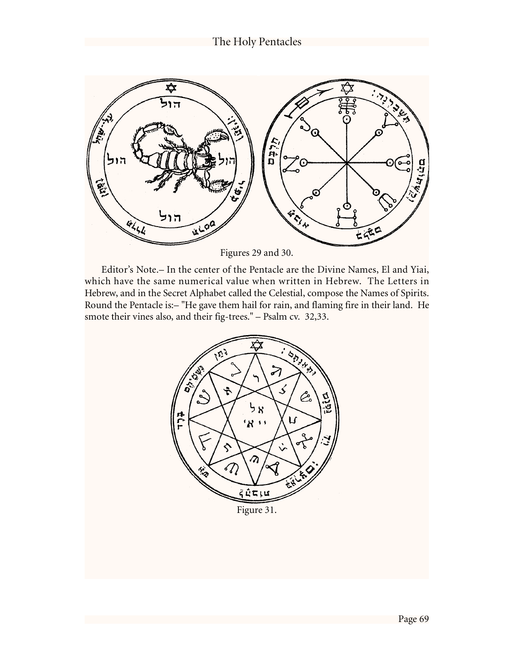

Figures 29 and 30.

Editor's Note.– In the center of the Pentacle are the Divine Names, El and Yiai, which have the same numerical value when written in Hebrew. The Letters in Hebrew, and in the Secret Alphabet called the Celestial, compose the Names of Spirits. Round the Pentacle is:– "He gave them hail for rain, and flaming fire in their land. He smote their vines also, and their fig-trees." – Psalm cv. 32,33.

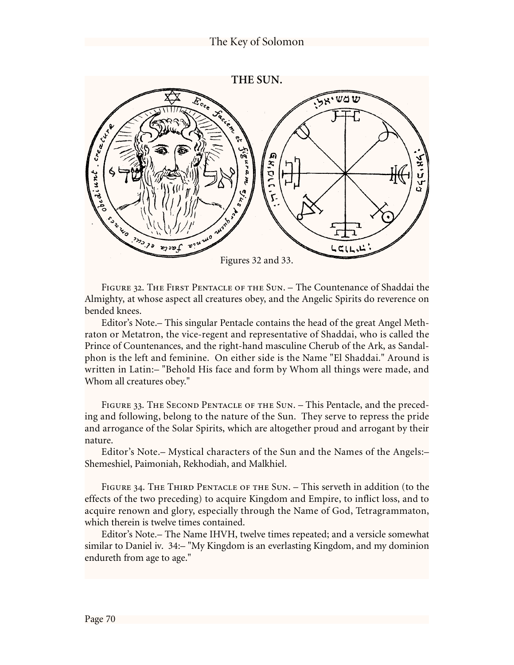

ひんれ、さ

 $L \subset L, L$ 

Figure 32. The First Pentacle of the Sun. – The Countenance of Shaddai the Almighty, at whose aspect all creatures obey, and the Angelic Spirits do reverence on bended knees.

Figures 32 and 33.

Editor's Note.– This singular Pentacle contains the head of the great Angel Methraton or Metatron, the vice-regent and representative of Shaddai, who is called the Prince of Countenances, and the right-hand masculine Cherub of the Ark, as Sandalphon is the left and feminine. On either side is the Name "El Shaddai." Around is written in Latin:– "Behold His face and form by Whom all things were made, and Whom all creatures obey."

Figure 33. The Second Pentacle of the Sun. – This Pentacle, and the preceding and following, belong to the nature of the Sun. They serve to repress the pride and arrogance of the Solar Spirits, which are altogether proud and arrogant by their nature.

Editor's Note.– Mystical characters of the Sun and the Names of the Angels:– Shemeshiel, Paimoniah, Rekhodiah, and Malkhiel.

FIGURE 34. THE THIRD PENTACLE OF THE SUN. – This serveth in addition (to the effects of the two preceding) to acquire Kingdom and Empire, to inflict loss, and to acquire renown and glory, especially through the Name of God, Tetragrammaton, which therein is twelve times contained.

Editor's Note.– The Name IHVH, twelve times repeated; and a versicle somewhat similar to Daniel iv. 34:– "My Kingdom is an everlasting Kingdom, and my dominion endureth from age to age."

AS VE VED

 $\frac{1}{2}$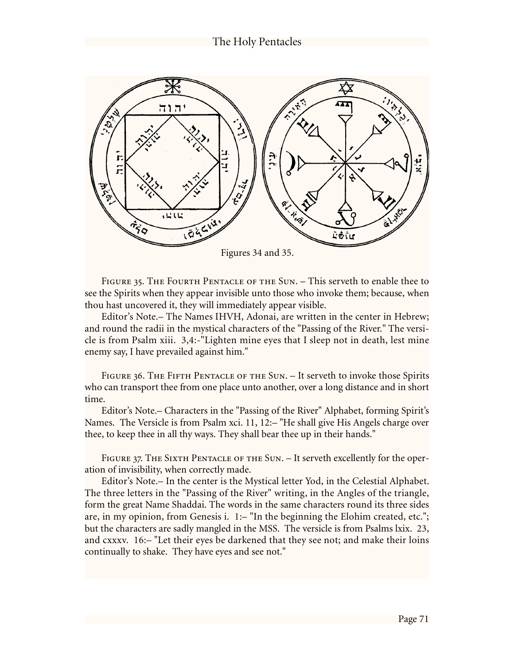

Figures 34 and 35.

FIGURE 35. THE FOURTH PENTACLE OF THE SUN. – This serveth to enable thee to see the Spirits when they appear invisible unto those who invoke them; because, when thou hast uncovered it, they will immediately appear visible.

Editor's Note.– The Names IHVH, Adonai, are written in the center in Hebrew; and round the radii in the mystical characters of the "Passing of the River." The versicle is from Psalm xiii. 3,4:-"Lighten mine eyes that I sleep not in death, lest mine enemy say, I have prevailed against him."

FIGURE 36. THE FIFTH PENTACLE OF THE SUN. – It serveth to invoke those Spirits who can transport thee from one place unto another, over a long distance and in short time.

Editor's Note.– Characters in the "Passing of the River" Alphabet, forming Spirit's Names. The Versicle is from Psalm xci. 11, 12:– "He shall give His Angels charge over thee, to keep thee in all thy ways. They shall bear thee up in their hands."

FIGURE 37. THE SIXTH PENTACLE OF THE SUN. - It serveth excellently for the operation of invisibility, when correctly made.

Editor's Note.– In the center is the Mystical letter Yod, in the Celestial Alphabet. The three letters in the "Passing of the River" writing, in the Angles of the triangle, form the great Name Shaddai. The words in the same characters round its three sides are, in my opinion, from Genesis i. 1:– "In the beginning the Elohim created, etc."; but the characters are sadly mangled in the MSS. The versicle is from Psalms lxix. 23, and cxxxv. 16:– "Let their eyes be darkened that they see not; and make their loins continually to shake. They have eyes and see not."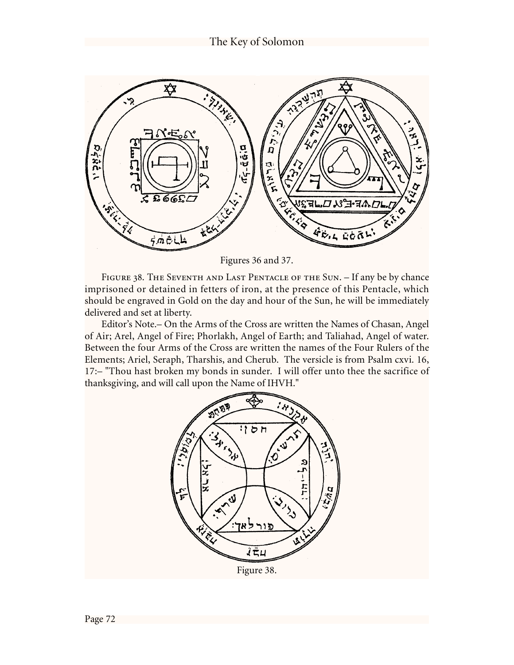

Figures 36 and 37.

FIGURE 38. THE SEVENTH AND LAST PENTACLE OF THE SUN. - If any be by chance imprisoned or detained in fetters of iron, at the presence of this Pentacle, which should be engraved in Gold on the day and hour of the Sun, he will be immediately delivered and set at liberty.

Editor's Note.– On the Arms of the Cross are written the Names of Chasan, Angel of Air; Arel, Angel of Fire; Phorlakh, Angel of Earth; and Taliahad, Angel of water. Between the four Arms of the Cross are written the names of the Four Rulers of the Elements; Ariel, Seraph, Tharshis, and Cherub. The versicle is from Psalm cxvi. 16, 17:– "Thou hast broken my bonds in sunder. I will offer unto thee the sacrifice of thanksgiving, and will call upon the Name of IHVH."



Figure 38.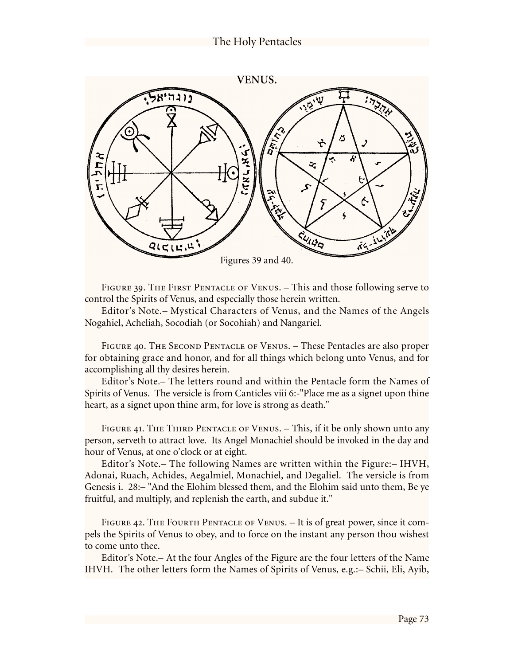

Figure 39. The First Pentacle of Venus. – This and those following serve to control the Spirits of Venus, and especially those herein written.

Editor's Note.– Mystical Characters of Venus, and the Names of the Angels Nogahiel, Acheliah, Socodiah (or Socohiah) and Nangariel.

Figure 40. The Second Pentacle of Venus. – These Pentacles are also proper for obtaining grace and honor, and for all things which belong unto Venus, and for accomplishing all thy desires herein.

Editor's Note.– The letters round and within the Pentacle form the Names of Spirits of Venus. The versicle is from Canticles viii 6:-"Place me as a signet upon thine heart, as a signet upon thine arm, for love is strong as death."

FIGURE 41. THE THIRD PENTACLE OF VENUS. – This, if it be only shown unto any person, serveth to attract love. Its Angel Monachiel should be invoked in the day and hour of Venus, at one o'clock or at eight.

Editor's Note.– The following Names are written within the Figure:– IHVH, Adonai, Ruach, Achides, Aegalmiel, Monachiel, and Degaliel. The versicle is from Genesis i. 28:– "And the Elohim blessed them, and the Elohim said unto them, Be ye fruitful, and multiply, and replenish the earth, and subdue it."

Figure 42. The Fourth Pentacle of Venus. – It is of great power, since it compels the Spirits of Venus to obey, and to force on the instant any person thou wishest to come unto thee.

Editor's Note.– At the four Angles of the Figure are the four letters of the Name IHVH. The other letters form the Names of Spirits of Venus, e.g.:– Schii, Eli, Ayib,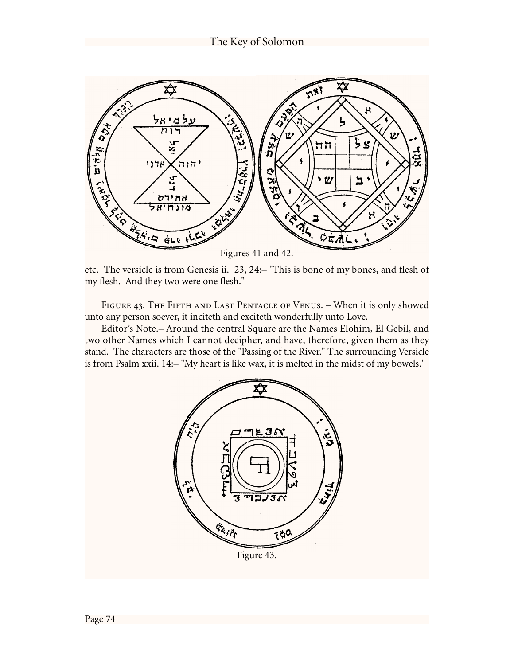

etc. The versicle is from Genesis ii. 23, 24:– "This is bone of my bones, and flesh of my flesh. And they two were one flesh."

FIGURE 43. THE FIFTH AND LAST PENTACLE OF VENUS. - When it is only showed unto any person soever, it inciteth and exciteth wonderfully unto Love.

Editor's Note.– Around the central Square are the Names Elohim, El Gebil, and two other Names which I cannot decipher, and have, therefore, given them as they stand. The characters are those of the "Passing of the River." The surrounding Versicle is from Psalm xxii. 14:– "My heart is like wax, it is melted in the midst of my bowels."



Figure 43.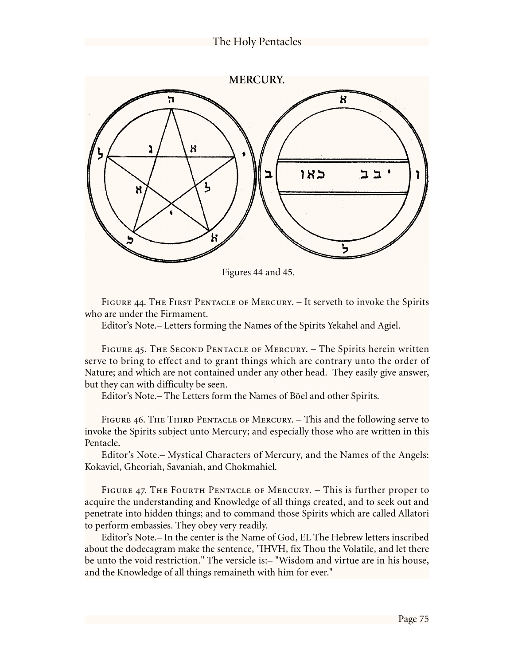

Figures 44 and 45.

FIGURE 44. THE FIRST PENTACLE OF MERCURY. - It serveth to invoke the Spirits who are under the Firmament.

Editor's Note.– Letters forming the Names of the Spirits Yekahel and Agiel.

FIGURE 45. THE SECOND PENTACLE OF MERCURY. - The Spirits herein written serve to bring to effect and to grant things which are contrary unto the order of Nature; and which are not contained under any other head. They easily give answer, but they can with difficulty be seen.

Editor's Note.– The Letters form the Names of Böel and other Spirits.

FIGURE 46. THE THIRD PENTACLE OF MERCURY. – This and the following serve to invoke the Spirits subject unto Mercury; and especially those who are written in this Pentacle.

Editor's Note.– Mystical Characters of Mercury, and the Names of the Angels: Kokaviel, Gheoriah, Savaniah, and Chokmahiel.

FIGURE 47. THE FOURTH PENTACLE OF MERCURY. - This is further proper to acquire the understanding and Knowledge of all things created, and to seek out and penetrate into hidden things; and to command those Spirits which are called Allatori to perform embassies. They obey very readily.

Editor's Note.– In the center is the Name of God, EL The Hebrew letters inscribed about the dodecagram make the sentence, "IHVH, fix Thou the Volatile, and let there be unto the void restriction." The versicle is:– "Wisdom and virtue are in his house, and the Knowledge of all things remaineth with him for ever."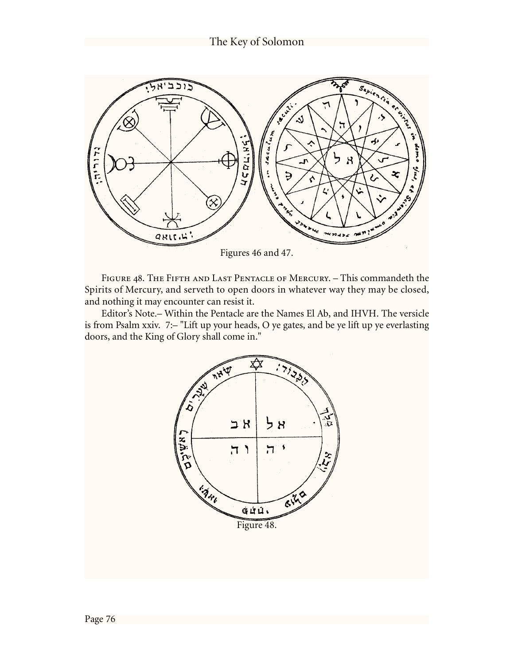

Figures 46 and 47.

FIGURE 48. THE FIFTH AND LAST PENTACLE OF MERCURY. - This commandeth the Spirits of Mercury, and serveth to open doors in whatever way they may be closed, and nothing it may encounter can resist it.

Editor's Note.– Within the Pentacle are the Names El Ab, and IHVH. The versicle is from Psalm xxiv. 7:– "Lift up your heads, O ye gates, and be ye lift up ye everlasting doors, and the King of Glory shall come in."

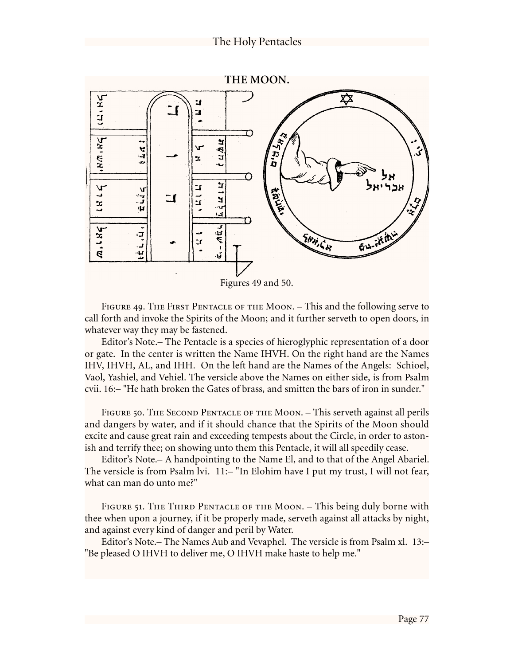

Figures 49 and 50.

FIGURE 49. THE FIRST PENTACLE OF THE MOON. – This and the following serve to call forth and invoke the Spirits of the Moon; and it further serveth to open doors, in whatever way they may be fastened.

Editor's Note.– The Pentacle is a species of hieroglyphic representation of a door or gate. In the center is written the Name IHVH. On the right hand are the Names IHV, IHVH, AL, and IHH. On the left hand are the Names of the Angels: Schioel, Vaol, Yashiel, and Vehiel. The versicle above the Names on either side, is from Psalm cvii. 16:– "He hath broken the Gates of brass, and smitten the bars of iron in sunder."

FIGURE 50. THE SECOND PENTACLE OF THE MOON. - This serveth against all perils and dangers by water, and if it should chance that the Spirits of the Moon should excite and cause great rain and exceeding tempests about the Circle, in order to astonish and terrify thee; on showing unto them this Pentacle, it will all speedily cease.

Editor's Note.– A handpointing to the Name El, and to that of the Angel Abariel. The versicle is from Psalm lvi. 11:– "In Elohim have I put my trust, I will not fear, what can man do unto me?"

FIGURE 51. THE THIRD PENTACLE OF THE MOON. – This being duly borne with thee when upon a journey, if it be properly made, serveth against all attacks by night, and against every kind of danger and peril by Water.

Editor's Note.– The Names Aub and Vevaphel. The versicle is from Psalm xl. 13:– "Be pleased O IHVH to deliver me, O IHVH make haste to help me."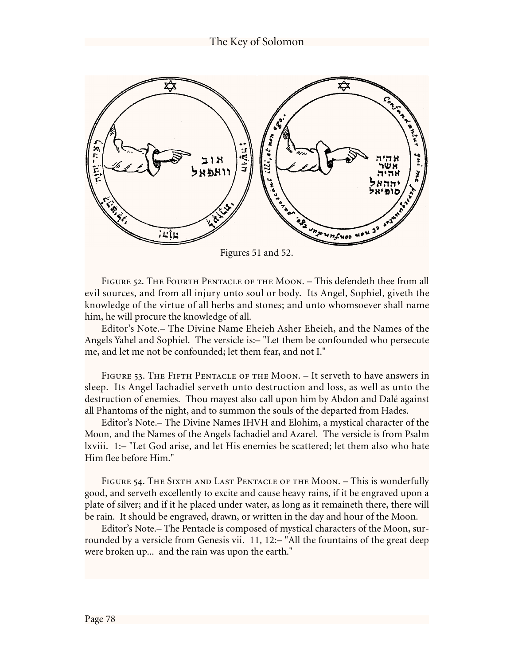

Figures 51 and 52.

Figure 52. The Fourth Pentacle of the Moon. – This defendeth thee from all evil sources, and from all injury unto soul or body. Its Angel, Sophiel, giveth the knowledge of the virtue of all herbs and stones; and unto whomsoever shall name him, he will procure the knowledge of all.

Editor's Note.– The Divine Name Eheieh Asher Eheieh, and the Names of the Angels Yahel and Sophiel. The versicle is:– "Let them be confounded who persecute me, and let me not be confounded; let them fear, and not I."

FIGURE 53. THE FIFTH PENTACLE OF THE MOON. – It serveth to have answers in sleep. Its Angel Iachadiel serveth unto destruction and loss, as well as unto the destruction of enemies. Thou mayest also call upon him by Abdon and Dalé against all Phantoms of the night, and to summon the souls of the departed from Hades.

Editor's Note.– The Divine Names IHVH and Elohim, a mystical character of the Moon, and the Names of the Angels Iachadiel and Azarel. The versicle is from Psalm lxviii. 1:– "Let God arise, and let His enemies be scattered; let them also who hate Him flee before Him."

FIGURE 54. THE SIXTH AND LAST PENTACLE OF THE MOON. - This is wonderfully good, and serveth excellently to excite and cause heavy rains, if it be engraved upon a plate of silver; and if it he placed under water, as long as it remaineth there, there will be rain. It should be engraved, drawn, or written in the day and hour of the Moon.

Editor's Note.– The Pentacle is composed of mystical characters of the Moon, surrounded by a versicle from Genesis vii. 11, 12:– "All the fountains of the great deep were broken up... and the rain was upon the earth."